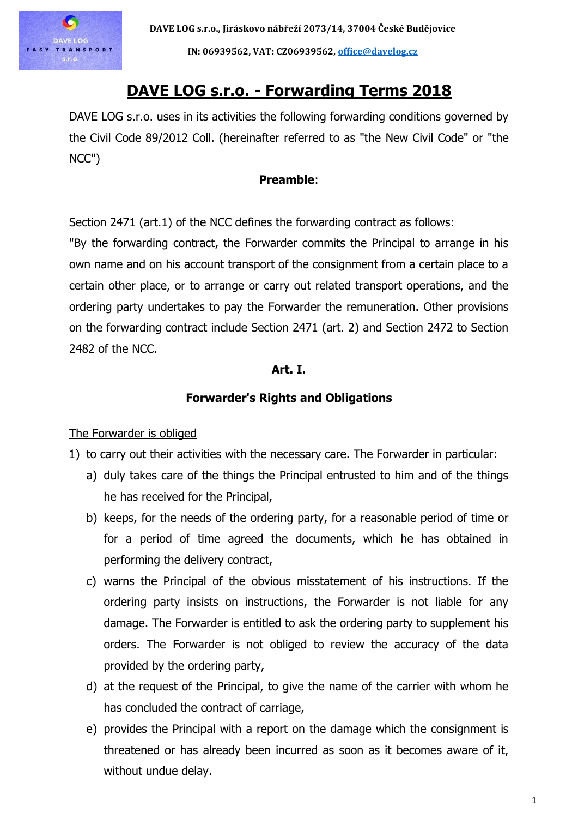

# **DAVE LOG s.r.o. - Forwarding Terms 2018**

DAVE LOG s.r.o. uses in its activities the following forwarding conditions governed by the Civil Code 89/2012 Coll. (hereinafter referred to as "the New Civil Code" or "the NCC")

## **Preamble**:

Section 2471 (art.1) of the NCC defines the forwarding contract as follows:

"By the forwarding contract, the Forwarder commits the Principal to arrange in his own name and on his account transport of the consignment from a certain place to a certain other place, or to arrange or carry out related transport operations, and the ordering party undertakes to pay the Forwarder the remuneration. Other provisions on the forwarding contract include Section 2471 (art. 2) and Section 2472 to Section 2482 of the NCC.

## **Art. I.**

## **Forwarder's Rights and Obligations**

The Forwarder is obliged

- 1) to carry out their activities with the necessary care. The Forwarder in particular:
	- a) duly takes care of the things the Principal entrusted to him and of the things he has received for the Principal,
	- b) keeps, for the needs of the ordering party, for a reasonable period of time or for a period of time agreed the documents, which he has obtained in performing the delivery contract,
	- c) warns the Principal of the obvious misstatement of his instructions. If the ordering party insists on instructions, the Forwarder is not liable for any damage. The Forwarder is entitled to ask the ordering party to supplement his orders. The Forwarder is not obliged to review the accuracy of the data provided by the ordering party,
	- d) at the request of the Principal, to give the name of the carrier with whom he has concluded the contract of carriage,
	- e) provides the Principal with a report on the damage which the consignment is threatened or has already been incurred as soon as it becomes aware of it, without undue delay.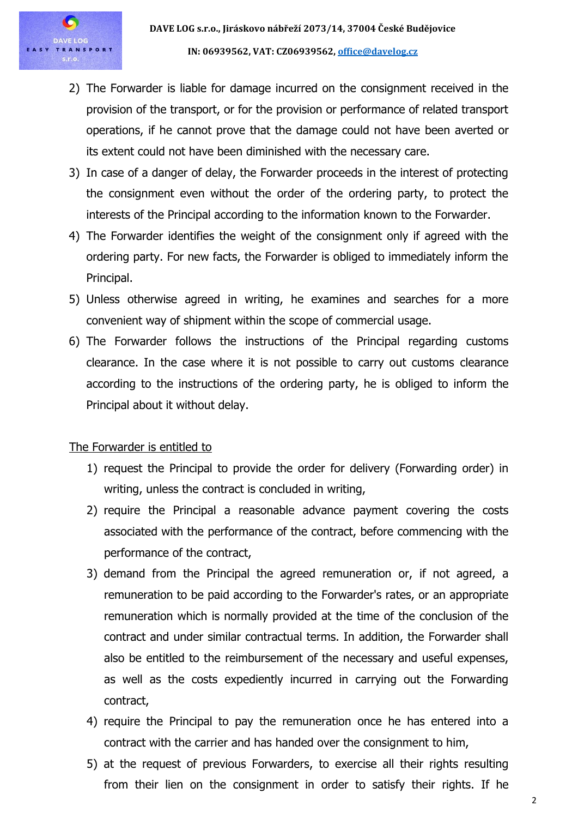- 2) The Forwarder is liable for damage incurred on the consignment received in the provision of the transport, or for the provision or performance of related transport operations, if he cannot prove that the damage could not have been averted or its extent could not have been diminished with the necessary care.
- 3) In case of a danger of delay, the Forwarder proceeds in the interest of protecting the consignment even without the order of the ordering party, to protect the interests of the Principal according to the information known to the Forwarder.
- 4) The Forwarder identifies the weight of the consignment only if agreed with the ordering party. For new facts, the Forwarder is obliged to immediately inform the Principal.
- 5) Unless otherwise agreed in writing, he examines and searches for a more convenient way of shipment within the scope of commercial usage.
- 6) The Forwarder follows the instructions of the Principal regarding customs clearance. In the case where it is not possible to carry out customs clearance according to the instructions of the ordering party, he is obliged to inform the Principal about it without delay.

## The Forwarder is entitled to

- 1) request the Principal to provide the order for delivery (Forwarding order) in writing, unless the contract is concluded in writing,
- 2) require the Principal a reasonable advance payment covering the costs associated with the performance of the contract, before commencing with the performance of the contract,
- 3) demand from the Principal the agreed remuneration or, if not agreed, a remuneration to be paid according to the Forwarder's rates, or an appropriate remuneration which is normally provided at the time of the conclusion of the contract and under similar contractual terms. In addition, the Forwarder shall also be entitled to the reimbursement of the necessary and useful expenses, as well as the costs expediently incurred in carrying out the Forwarding contract,
- 4) require the Principal to pay the remuneration once he has entered into a contract with the carrier and has handed over the consignment to him,
- 5) at the request of previous Forwarders, to exercise all their rights resulting from their lien on the consignment in order to satisfy their rights. If he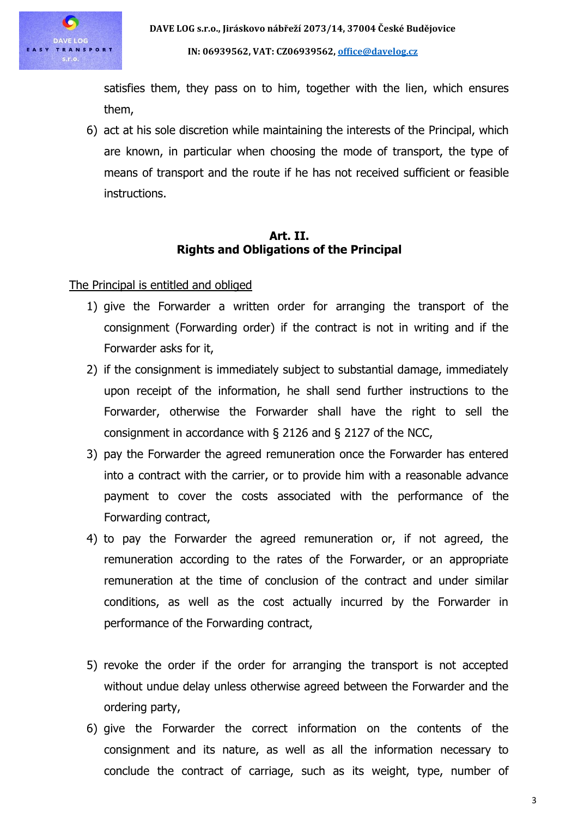

**IN: 06939562, VAT: CZ06939562, [office@davelog.cz](mailto:office@davelog.cz)**

satisfies them, they pass on to him, together with the lien, which ensures them,

6) act at his sole discretion while maintaining the interests of the Principal, which are known, in particular when choosing the mode of transport, the type of means of transport and the route if he has not received sufficient or feasible instructions.

## **Art. II. Rights and Obligations of the Principal**

The Principal is entitled and obliged

- 1) give the Forwarder a written order for arranging the transport of the consignment (Forwarding order) if the contract is not in writing and if the Forwarder asks for it,
- 2) if the consignment is immediately subject to substantial damage, immediately upon receipt of the information, he shall send further instructions to the Forwarder, otherwise the Forwarder shall have the right to sell the consignment in accordance with § 2126 and § 2127 of the NCC,
- 3) pay the Forwarder the agreed remuneration once the Forwarder has entered into a contract with the carrier, or to provide him with a reasonable advance payment to cover the costs associated with the performance of the Forwarding contract,
- 4) to pay the Forwarder the agreed remuneration or, if not agreed, the remuneration according to the rates of the Forwarder, or an appropriate remuneration at the time of conclusion of the contract and under similar conditions, as well as the cost actually incurred by the Forwarder in performance of the Forwarding contract,
- 5) revoke the order if the order for arranging the transport is not accepted without undue delay unless otherwise agreed between the Forwarder and the ordering party,
- 6) give the Forwarder the correct information on the contents of the consignment and its nature, as well as all the information necessary to conclude the contract of carriage, such as its weight, type, number of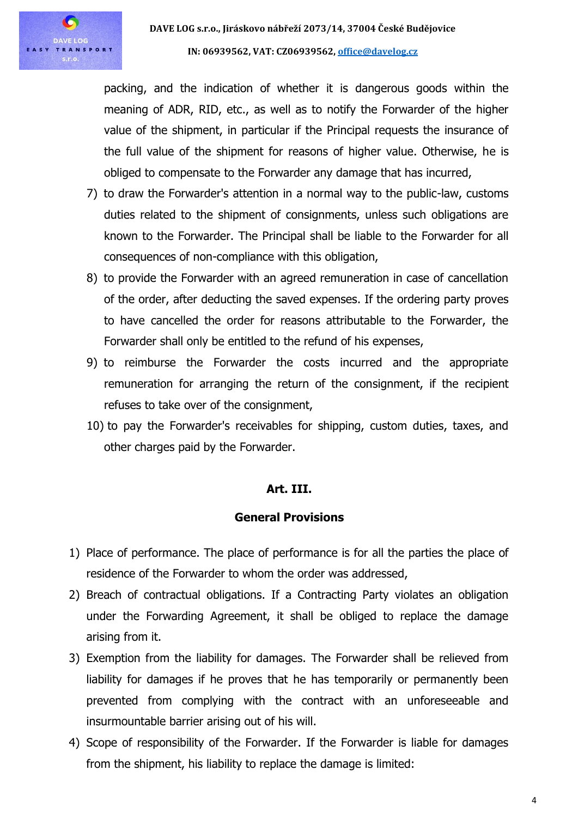

packing, and the indication of whether it is dangerous goods within the meaning of ADR, RID, etc., as well as to notify the Forwarder of the higher value of the shipment, in particular if the Principal requests the insurance of the full value of the shipment for reasons of higher value. Otherwise, he is obliged to compensate to the Forwarder any damage that has incurred,

- 7) to draw the Forwarder's attention in a normal way to the public-law, customs duties related to the shipment of consignments, unless such obligations are known to the Forwarder. The Principal shall be liable to the Forwarder for all consequences of non-compliance with this obligation,
- 8) to provide the Forwarder with an agreed remuneration in case of cancellation of the order, after deducting the saved expenses. If the ordering party proves to have cancelled the order for reasons attributable to the Forwarder, the Forwarder shall only be entitled to the refund of his expenses,
- 9) to reimburse the Forwarder the costs incurred and the appropriate remuneration for arranging the return of the consignment, if the recipient refuses to take over of the consignment,
- 10) to pay the Forwarder's receivables for shipping, custom duties, taxes, and other charges paid by the Forwarder.

## **Art. III.**

## **General Provisions**

- 1) Place of performance. The place of performance is for all the parties the place of residence of the Forwarder to whom the order was addressed,
- 2) Breach of contractual obligations. If a Contracting Party violates an obligation under the Forwarding Agreement, it shall be obliged to replace the damage arising from it.
- 3) Exemption from the liability for damages. The Forwarder shall be relieved from liability for damages if he proves that he has temporarily or permanently been prevented from complying with the contract with an unforeseeable and insurmountable barrier arising out of his will.
- 4) Scope of responsibility of the Forwarder. If the Forwarder is liable for damages from the shipment, his liability to replace the damage is limited: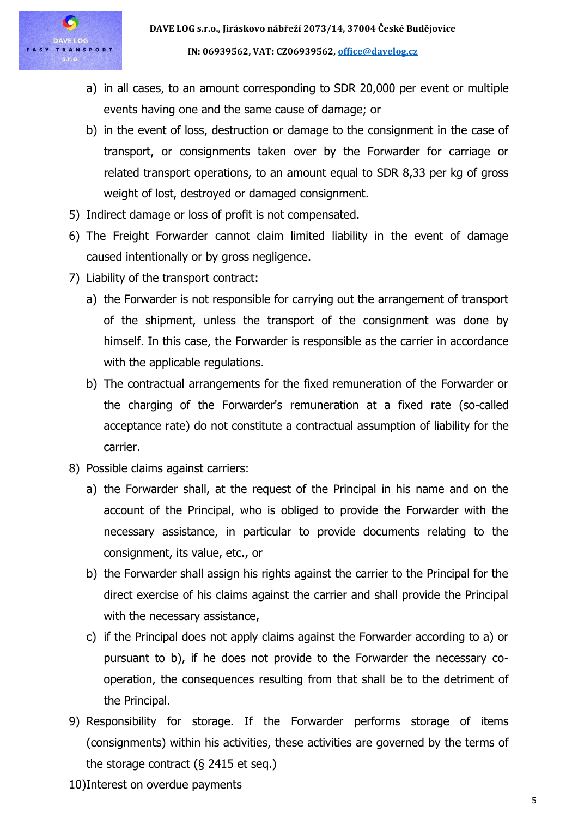

- a) in all cases, to an amount corresponding to SDR 20,000 per event or multiple events having one and the same cause of damage; or
- b) in the event of loss, destruction or damage to the consignment in the case of transport, or consignments taken over by the Forwarder for carriage or related transport operations, to an amount equal to SDR 8,33 per kg of gross weight of lost, destroyed or damaged consignment.
- 5) Indirect damage or loss of profit is not compensated.
- 6) The Freight Forwarder cannot claim limited liability in the event of damage caused intentionally or by gross negligence.
- 7) Liability of the transport contract:
	- a) the Forwarder is not responsible for carrying out the arrangement of transport of the shipment, unless the transport of the consignment was done by himself. In this case, the Forwarder is responsible as the carrier in accordance with the applicable regulations.
	- b) The contractual arrangements for the fixed remuneration of the Forwarder or the charging of the Forwarder's remuneration at a fixed rate (so-called acceptance rate) do not constitute a contractual assumption of liability for the carrier.
- 8) Possible claims against carriers:
	- a) the Forwarder shall, at the request of the Principal in his name and on the account of the Principal, who is obliged to provide the Forwarder with the necessary assistance, in particular to provide documents relating to the consignment, its value, etc., or
	- b) the Forwarder shall assign his rights against the carrier to the Principal for the direct exercise of his claims against the carrier and shall provide the Principal with the necessary assistance,
	- c) if the Principal does not apply claims against the Forwarder according to a) or pursuant to b), if he does not provide to the Forwarder the necessary cooperation, the consequences resulting from that shall be to the detriment of the Principal.
- 9) Responsibility for storage. If the Forwarder performs storage of items (consignments) within his activities, these activities are governed by the terms of the storage contract (§ 2415 et seq.)
- 10)Interest on overdue payments